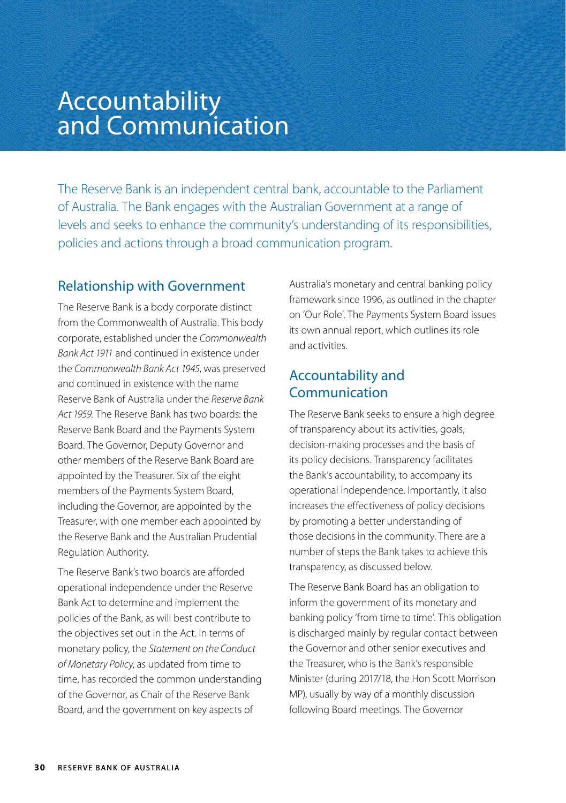# Accountability and Communication

The Reserve Bank is an independent central bank, accountable to the Parliament of Australia. The Bank engages with the Australian Government at a range of levels and seeks to enhance the community's understanding of its responsibilities, policies and actions through a broad communication program.

## Relationship with Government

The Reserve Bank is a body corporate distinct from the Commonwealth of Australia. This body corporate, established under the *Commonwealth Bank Act 1911* and continued in existence under the *Commonwealth Bank Act 1945*, was preserved and continued in existence with the name Reserve Bank of Australia under the *Reserve Bank Act 1959.* The Reserve Bank has two boards: the Reserve Bank Board and the Payments System Board. The Governor, Deputy Governor and other members of the Reserve Bank Board are appointed by the Treasurer. Six of the eight members of the Payments System Board, including the Governor, are appointed by the Treasurer, with one member each appointed by the Reserve Bank and the Australian Prudential Regulation Authority.

The Reserve Bank's two boards are afforded operational independence under the Reserve Bank Act to determine and implement the policies of the Bank, as will best contribute to the objectives set out in the Act. In terms of monetary policy, the *Statement on the Conduct of Monetary Policy*, as updated from time to time, has recorded the common understanding of the Governor, as Chair of the Reserve Bank Board, and the government on key aspects of

Australia's monetary and central banking policy framework since 1996, as outlined in the chapter on 'Our Role'. The Payments System Board issues its own annual report, which outlines its role and activities.

## Accountability and Communication

The Reserve Bank seeks to ensure a high degree of transparency about its activities, goals, decision-making processes and the basis of its policy decisions. Transparency facilitates the Bank's accountability, to accompany its operational independence. Importantly, it also increases the effectiveness of policy decisions by promoting a better understanding of those decisions in the community. There are a number of steps the Bank takes to achieve this transparency, as discussed below.

The Reserve Bank Board has an obligation to inform the government of its monetary and banking policy 'from time to time'. This obligation is discharged mainly by regular contact between the Governor and other senior executives and the Treasurer, who is the Bank's responsible Minister (during 2017/18, the Hon Scott Morrison MP), usually by way of a monthly discussion following Board meetings. The Governor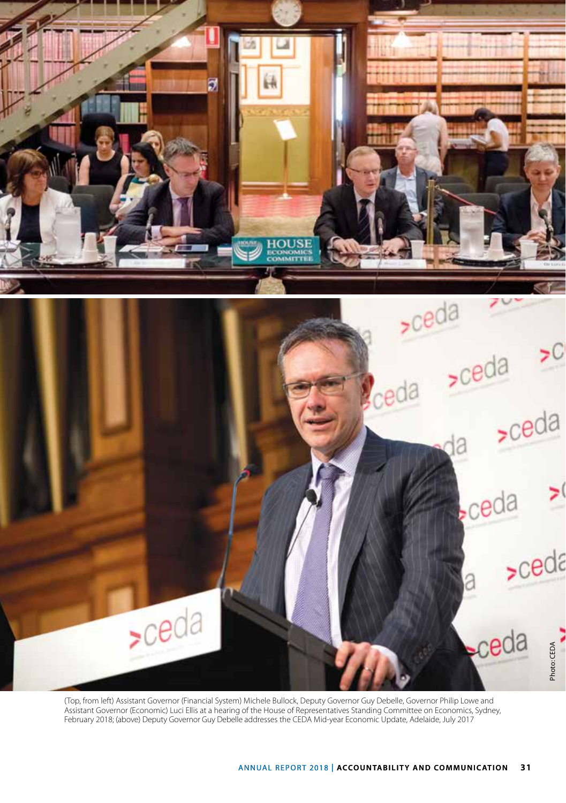

(Top, from left) Assistant Governor (Financial System) Michele Bullock, Deputy Governor Guy Debelle, Governor Philip Lowe and Assistant Governor (Economic) Luci Ellis at a hearing of the House of Representatives Standing Committee on Economics, Sydney, February 2018; (above) Deputy Governor Guy Debelle addresses the CEDA Mid-year Economic Update, Adelaide, July 2017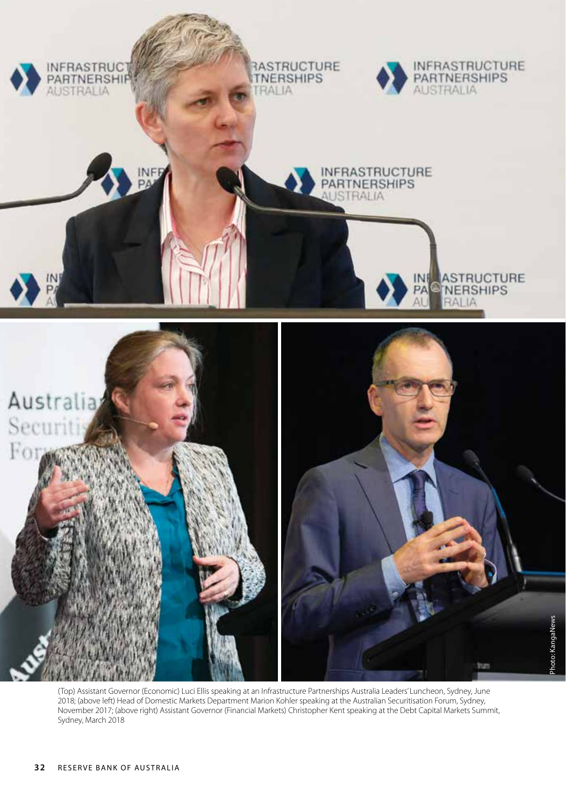

(Top) Assistant Governor (Economic) Luci Ellis speaking at an Infrastructure Partnerships Australia Leaders' Luncheon, Sydney, June 2018; (above left) Head of Domestic Markets Department Marion Kohler speaking at the Australian Securitisation Forum, Sydney, November 2017; (above right) Assistant Governor (Financial Markets) Christopher Kent speaking at the Debt Capital Markets Summit, Sydney, March 2018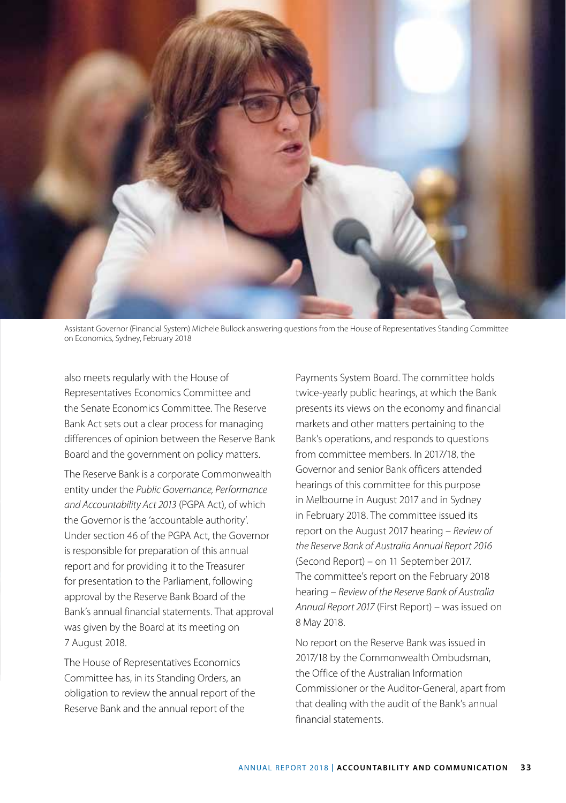

Assistant Governor (Financial System) Michele Bullock answering questions from the House of Representatives Standing Committee on Economics, Sydney, February 2018

also meets regularly with the House of Representatives Economics Committee and the Senate Economics Committee. The Reserve Bank Act sets out a clear process for managing differences of opinion between the Reserve Bank Board and the government on policy matters.

The Reserve Bank is a corporate Commonwealth entity under the *Public Governance, Performance and Accountability Act 2013* (PGPA Act), of which the Governor is the 'accountable authority'. Under section 46 of the PGPA Act, the Governor is responsible for preparation of this annual report and for providing it to the Treasurer for presentation to the Parliament, following approval by the Reserve Bank Board of the Bank's annual financial statements. That approval was given by the Board at its meeting on 7 August 2018.

The House of Representatives Economics Committee has, in its Standing Orders, an obligation to review the annual report of the Reserve Bank and the annual report of the

Payments System Board. The committee holds twice-yearly public hearings, at which the Bank presents its views on the economy and financial markets and other matters pertaining to the Bank's operations, and responds to questions from committee members. In 2017/18, the Governor and senior Bank officers attended hearings of this committee for this purpose in Melbourne in August 2017 and in Sydney in February 2018. The committee issued its report on the August 2017 hearing – *Review of the Reserve Bank of Australia Annual Report 2016*  (Second Report) – on 11 September 2017. The committee's report on the February 2018 hearing – *Review of the Reserve Bank of Australia Annual Report 2017* (First Report) – was issued on 8 May 2018.

No report on the Reserve Bank was issued in 2017/18 by the Commonwealth Ombudsman, the Office of the Australian Information Commissioner or the Auditor-General, apart from that dealing with the audit of the Bank's annual financial statements.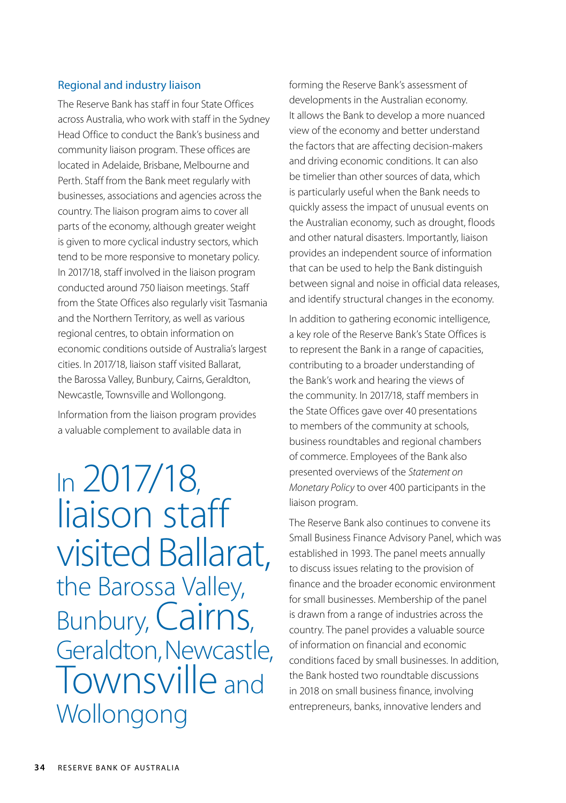#### Regional and industry liaison

The Reserve Bank has staff in four State Offices across Australia, who work with staff in the Sydney Head Office to conduct the Bank's business and community liaison program. These offices are located in Adelaide, Brisbane, Melbourne and Perth. Staff from the Bank meet regularly with businesses, associations and agencies across the country. The liaison program aims to cover all parts of the economy, although greater weight is given to more cyclical industry sectors, which tend to be more responsive to monetary policy. In 2017/18, staff involved in the liaison program conducted around 750 liaison meetings. Staff from the State Offices also regularly visit Tasmania and the Northern Territory, as well as various regional centres, to obtain information on economic conditions outside of Australia's largest cities. In 2017/18, liaison staff visited Ballarat, the Barossa Valley, Bunbury, Cairns, Geraldton, Newcastle, Townsville and Wollongong. Information from the liaison program provides

a valuable complement to available data in

In 2017/18, liaison staff visited Ballarat, the Barossa Valley, Bunbury, Cairns, Geraldton, Newcastle, Townsville and **Wollongong** 

forming the Reserve Bank's assessment of developments in the Australian economy. It allows the Bank to develop a more nuanced view of the economy and better understand the factors that are affecting decision-makers and driving economic conditions. It can also be timelier than other sources of data, which is particularly useful when the Bank needs to quickly assess the impact of unusual events on the Australian economy, such as drought, floods and other natural disasters. Importantly, liaison provides an independent source of information that can be used to help the Bank distinguish between signal and noise in official data releases, and identify structural changes in the economy.

In addition to gathering economic intelligence, a key role of the Reserve Bank's State Offices is to represent the Bank in a range of capacities, contributing to a broader understanding of the Bank's work and hearing the views of the community. In 2017/18, staff members in the State Offices gave over 40 presentations to members of the community at schools, business roundtables and regional chambers of commerce. Employees of the Bank also presented overviews of the *Statement on Monetary Policy* to over 400 participants in the liaison program.

The Reserve Bank also continues to convene its Small Business Finance Advisory Panel, which was established in 1993. The panel meets annually to discuss issues relating to the provision of finance and the broader economic environment for small businesses. Membership of the panel is drawn from a range of industries across the country. The panel provides a valuable source of information on financial and economic conditions faced by small businesses. In addition, the Bank hosted two roundtable discussions in 2018 on small business finance, involving entrepreneurs, banks, innovative lenders and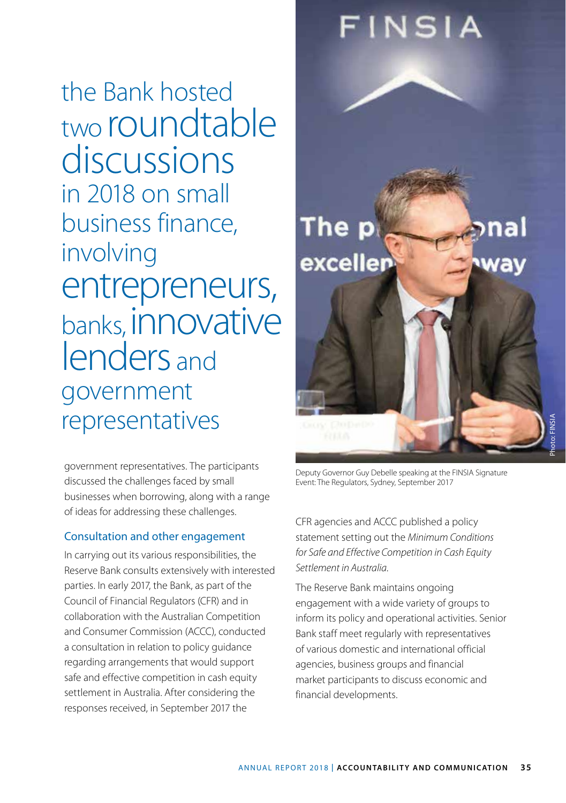the Bank hosted two roundtable discussions in 2018 on small business finance, involving entrepreneurs, banks, innovative lenders and government representatives

government representatives. The participants discussed the challenges faced by small businesses when borrowing, along with a range of ideas for addressing these challenges.

#### Consultation and other engagement

In carrying out its various responsibilities, the Reserve Bank consults extensively with interested parties. In early 2017, the Bank, as part of the Council of Financial Regulators (CFR) and in collaboration with the Australian Competition and Consumer Commission (ACCC), conducted a consultation in relation to policy guidance regarding arrangements that would support safe and effective competition in cash equity settlement in Australia. After considering the responses received, in September 2017 the



Deputy Governor Guy Debelle speaking at the FINSIA Signature Event: The Regulators, Sydney, September 2017

CFR agencies and ACCC published a policy statement setting out the *Minimum Conditions for Safe and Effective Competition in Cash Equity Settlement in Australia*.

The Reserve Bank maintains ongoing engagement with a wide variety of groups to inform its policy and operational activities. Senior Bank staff meet regularly with representatives of various domestic and international official agencies, business groups and financial market participants to discuss economic and financial developments.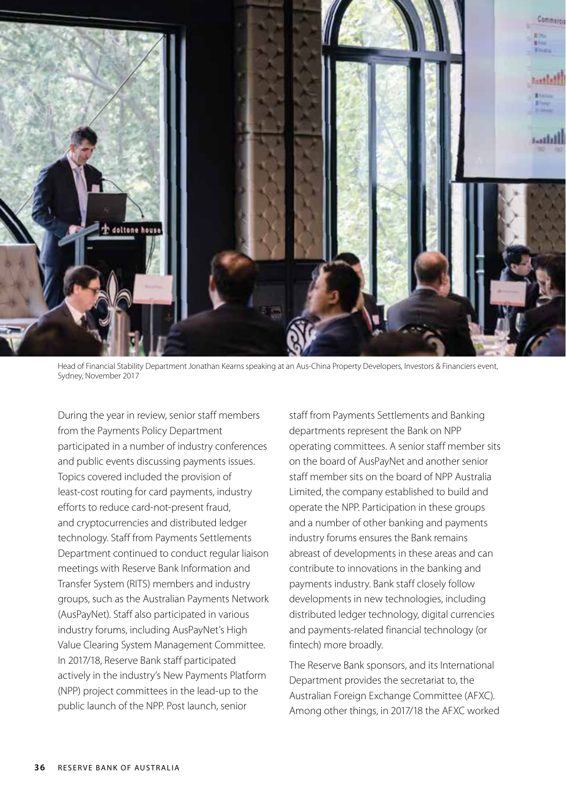

Head of Financial Stability Department Jonathan Kearns speaking at an Aus-China Property Developers, Investors & Financiers event, Sydney, November 2017

During the year in review, senior staff members from the Payments Policy Department participated in a number of industry conferences and public events discussing payments issues. Topics covered included the provision of least-cost routing for card payments, industry efforts to reduce card-not-present fraud, and cryptocurrencies and distributed ledger technology. Staff from Payments Settlements Department continued to conduct regular liaison meetings with Reserve Bank Information and Transfer System (RITS) members and industry groups, such as the Australian Payments Network (AusPayNet). Staff also participated in various industry forums, including AusPayNet's High Value Clearing System Management Committee. In 2017/18, Reserve Bank staff participated actively in the industry's New Payments Platform (NPP) project committees in the lead-up to the public launch of the NPP. Post launch, senior

staff from Payments Settlements and Banking departments represent the Bank on NPP operating committees. A senior staff member sits on the board of AusPayNet and another senior staff member sits on the board of NPP Australia Limited, the company established to build and operate the NPP. Participation in these groups and a number of other banking and payments industry forums ensures the Bank remains abreast of developments in these areas and can contribute to innovations in the banking and payments industry. Bank staff closely follow developments in new technologies, including distributed ledger technology, digital currencies and payments-related financial technology (or fintech) more broadly.

The Reserve Bank sponsors, and its International Department provides the secretariat to, the Australian Foreign Exchange Committee (AFXC). Among other things, in 2017/18 the AFXC worked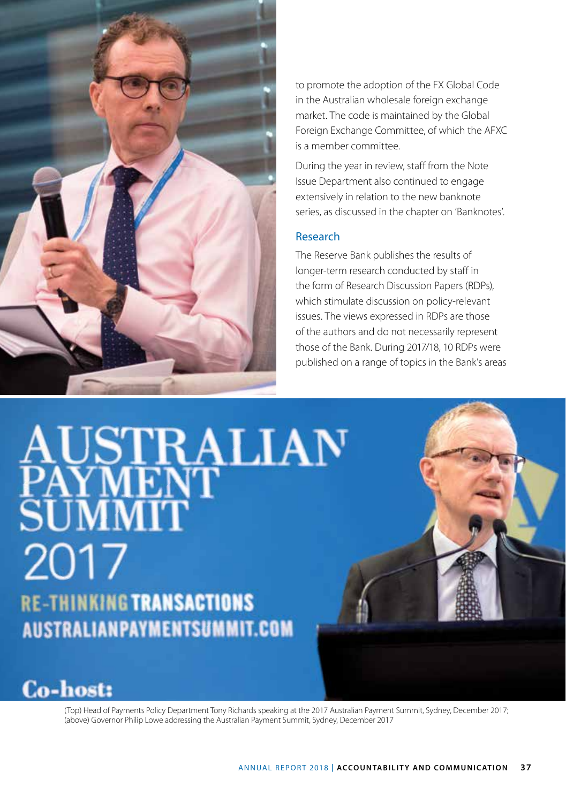

to promote the adoption of the FX Global Code in the Australian wholesale foreign exchange market. The code is maintained by the Global Foreign Exchange Committee, of which the AFXC is a member committee.

During the year in review, staff from the Note Issue Department also continued to engage extensively in relation to the new banknote series, as discussed in the chapter on 'Banknotes'.

#### Research

The Reserve Bank publishes the results of longer-term research conducted by staff in the form of Research Discussion Papers (RDPs), which stimulate discussion on policy-relevant issues. The views expressed in RDPs are those of the authors and do not necessarily represent those of the Bank. During 2017/18, 10 RDPs were published on a range of topics in the Bank's areas

AUSTRALIAN<br>PAYMENT<br>SUMMIT 2017 **RE-THINKING TRANSACTIONS AUSTRALIANPAYMENTSUMMIT.COM** 



(Top) Head of Payments Policy Department Tony Richards speaking at the 2017 Australian Payment Summit, Sydney, December 2017; (above) Governor Philip Lowe addressing the Australian Payment Summit, Sydney, December 2017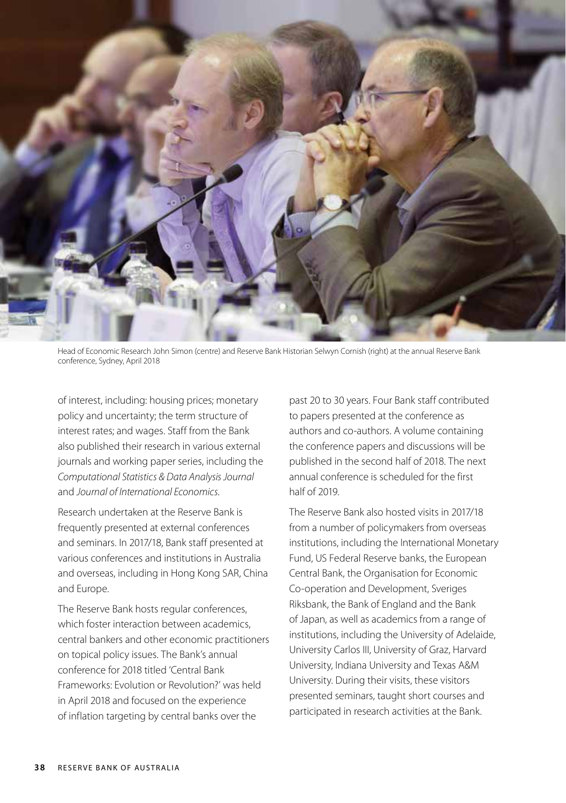

Head of Economic Research John Simon (centre) and Reserve Bank Historian Selwyn Cornish (right) at the annual Reserve Bank conference, Sydney, April 2018

of interest, including: housing prices; monetary policy and uncertainty; the term structure of interest rates; and wages. Staff from the Bank also published their research in various external journals and working paper series, including the *Computational Statistics & Data Analysis Journal* and *Journal of International Economics*.

Research undertaken at the Reserve Bank is frequently presented at external conferences and seminars. In 2017/18, Bank staff presented at various conferences and institutions in Australia and overseas, including in Hong Kong SAR, China and Europe.

The Reserve Bank hosts regular conferences, which foster interaction between academics, central bankers and other economic practitioners on topical policy issues. The Bank's annual conference for 2018 titled 'Central Bank Frameworks: Evolution or Revolution?' was held in April 2018 and focused on the experience of inflation targeting by central banks over the

past 20 to 30 years. Four Bank staff contributed to papers presented at the conference as authors and co-authors. A volume containing the conference papers and discussions will be published in the second half of 2018. The next annual conference is scheduled for the first half of 2019.

The Reserve Bank also hosted visits in 2017/18 from a number of policymakers from overseas institutions, including the International Monetary Fund, US Federal Reserve banks, the European Central Bank, the Organisation for Economic Co-operation and Development, Sveriges Riksbank, the Bank of England and the Bank of Japan, as well as academics from a range of institutions, including the University of Adelaide, University Carlos III, University of Graz, Harvard University, Indiana University and Texas A&M University. During their visits, these visitors presented seminars, taught short courses and participated in research activities at the Bank.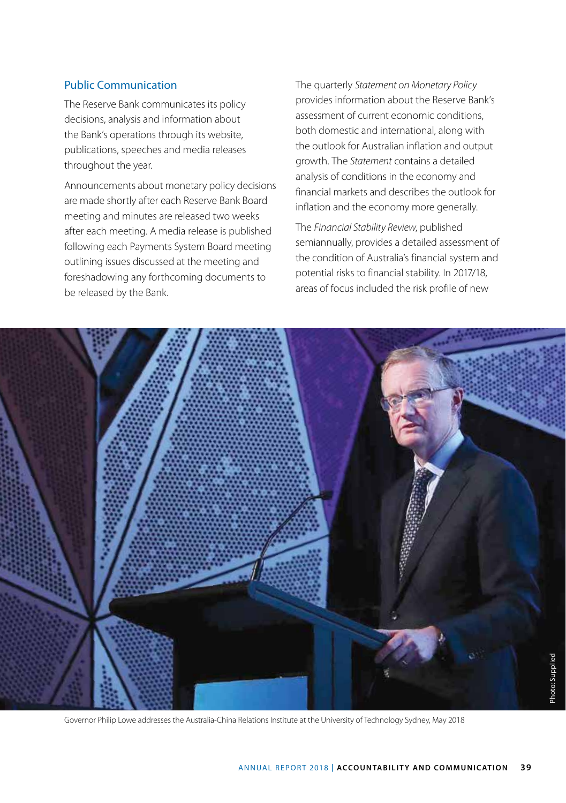### Public Communication

The Reserve Bank communicates its policy decisions, analysis and information about the Bank's operations through its website, publications, speeches and media releases throughout the year.

Announcements about monetary policy decisions are made shortly after each Reserve Bank Board meeting and minutes are released two weeks after each meeting. A media release is published following each Payments System Board meeting outlining issues discussed at the meeting and foreshadowing any forthcoming documents to be released by the Bank.

The quarterly *Statement on Monetary Policy* provides information about the Reserve Bank's assessment of current economic conditions, both domestic and international, along with the outlook for Australian inflation and output growth. The *Statement* contains a detailed analysis of conditions in the economy and financial markets and describes the outlook for inflation and the economy more generally.

The *Financial Stability Review*, published semiannually, provides a detailed assessment of the condition of Australia's financial system and potential risks to financial stability. In 2017/18, areas of focus included the risk profile of new



Governor Philip Lowe addresses the Australia-China Relations Institute at the University of Technology Sydney, May 2018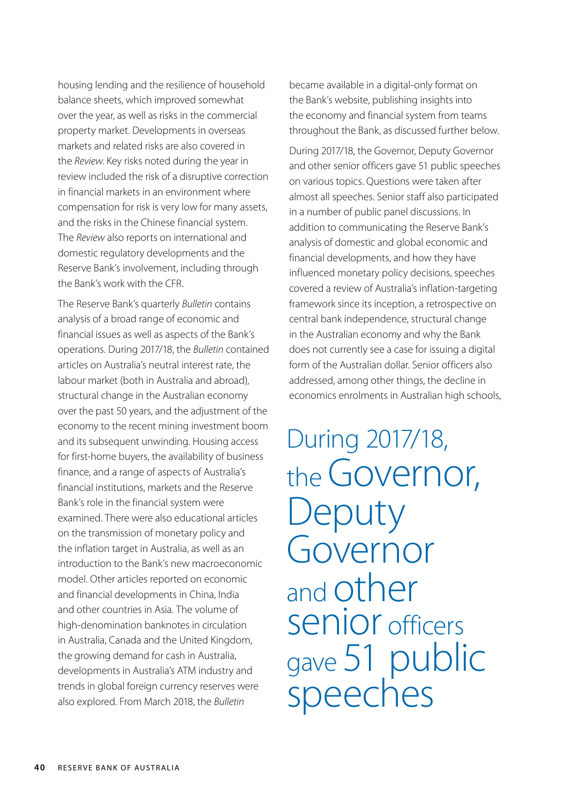housing lending and the resilience of household balance sheets, which improved somewhat over the year, as well as risks in the commercial property market. Developments in overseas markets and related risks are also covered in the *Review*. Key risks noted during the year in review included the risk of a disruptive correction in financial markets in an environment where compensation for risk is very low for many assets, and the risks in the Chinese financial system. The *Review* also reports on international and domestic regulatory developments and the Reserve Bank's involvement, including through the Bank's work with the CFR.

The Reserve Bank's quarterly *Bulletin* contains analysis of a broad range of economic and financial issues as well as aspects of the Bank's operations. During 2017/18, the *Bulletin* contained articles on Australia's neutral interest rate, the labour market (both in Australia and abroad), structural change in the Australian economy over the past 50 years, and the adjustment of the economy to the recent mining investment boom and its subsequent unwinding. Housing access for first-home buyers, the availability of business finance, and a range of aspects of Australia's financial institutions, markets and the Reserve Bank's role in the financial system were examined. There were also educational articles on the transmission of monetary policy and the inflation target in Australia, as well as an introduction to the Bank's new macroeconomic model. Other articles reported on economic and financial developments in China, India and other countries in Asia. The volume of high-denomination banknotes in circulation in Australia, Canada and the United Kingdom, the growing demand for cash in Australia, developments in Australia's ATM industry and trends in global foreign currency reserves were also explored. From March 2018, the *Bulletin*

became available in a digital-only format on the Bank's website, publishing insights into the economy and financial system from teams throughout the Bank, as discussed further below.

During 2017/18, the Governor, Deputy Governor and other senior officers gave 51 public speeches on various topics. Questions were taken after almost all speeches. Senior staff also participated in a number of public panel discussions. In addition to communicating the Reserve Bank's analysis of domestic and global economic and financial developments, and how they have influenced monetary policy decisions, speeches covered a review of Australia's inflation-targeting framework since its inception, a retrospective on central bank independence, structural change in the Australian economy and why the Bank does not currently see a case for issuing a digital form of the Australian dollar. Senior officers also addressed, among other things, the decline in economics enrolments in Australian high schools,

During 2017/18, the Governor, Deputy Governor and other senior officers gave 51 public<br>speeches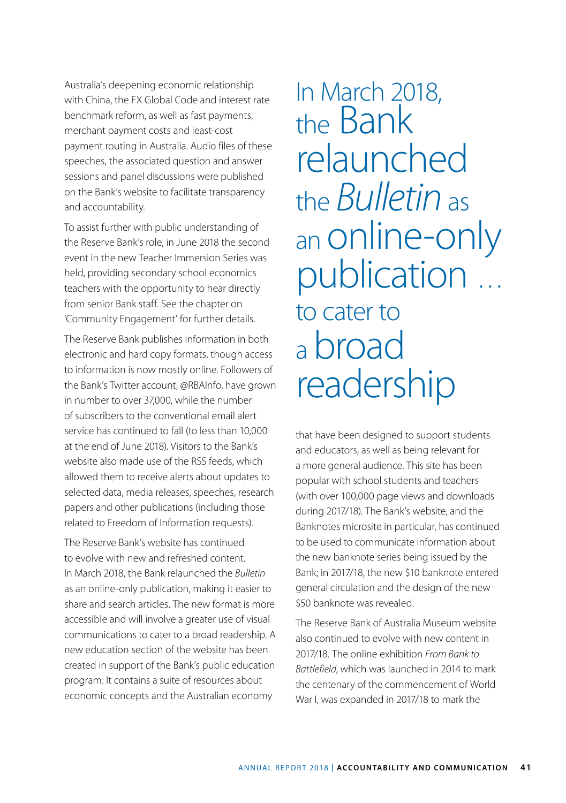Australia's deepening economic relationship with China, the FX Global Code and interest rate benchmark reform, as well as fast payments, merchant payment costs and least-cost payment routing in Australia. Audio files of these speeches, the associated question and answer sessions and panel discussions were published on the Bank's website to facilitate transparency and accountability.

To assist further with public understanding of the Reserve Bank's role, in June 2018 the second event in the new Teacher Immersion Series was held, providing secondary school economics teachers with the opportunity to hear directly from senior Bank staff. See the chapter on 'Community Engagement' for further details.

The Reserve Bank publishes information in both electronic and hard copy formats, though access to information is now mostly online. Followers of the Bank's Twitter account, @RBAInfo, have grown in number to over 37,000, while the number of subscribers to the conventional email alert service has continued to fall (to less than 10,000 at the end of June 2018). Visitors to the Bank's website also made use of the RSS feeds, which allowed them to receive alerts about updates to selected data, media releases, speeches, research papers and other publications (including those related to Freedom of Information requests).

The Reserve Bank's website has continued to evolve with new and refreshed content. In March 2018, the Bank relaunched the *Bulletin* as an online-only publication, making it easier to share and search articles. The new format is more accessible and will involve a greater use of visual communications to cater to a broad readership. A new education section of the website has been created in support of the Bank's public education program. It contains a suite of resources about economic concepts and the Australian economy

In March 2018, the Bank relaunched the *Bulletin* as an online-only publication … to cater to a broad readership

that have been designed to support students and educators, as well as being relevant for a more general audience. This site has been popular with school students and teachers (with over 100,000 page views and downloads during 2017/18). The Bank's website, and the Banknotes microsite in particular, has continued to be used to communicate information about the new banknote series being issued by the Bank; in 2017/18, the new \$10 banknote entered general circulation and the design of the new \$50 banknote was revealed.

The Reserve Bank of Australia Museum website also continued to evolve with new content in 2017/18. The online exhibition *From Bank to Battlefield*, which was launched in 2014 to mark the centenary of the commencement of World War I, was expanded in 2017/18 to mark the